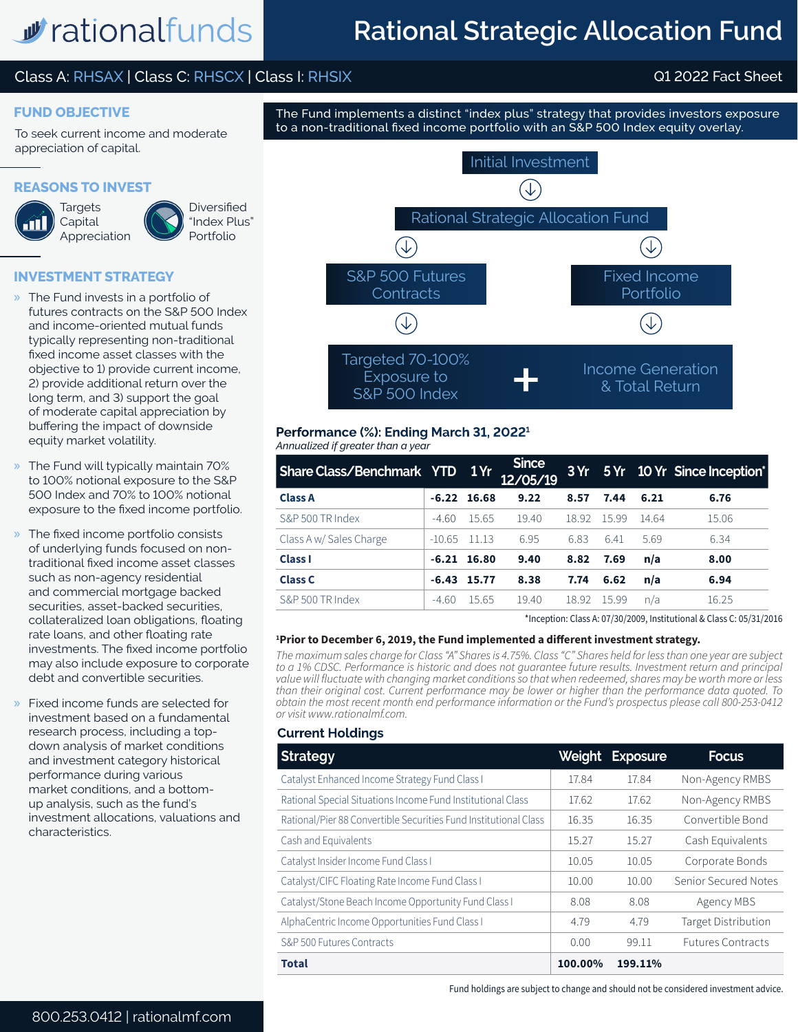# *w* rationalfunds

## **Rational Strategic Allocation Fund**

## Class A: RHSAX | Class C: RHSCX | Class I: RHSIX Q1 2022 Fact Sheet

## **FUND OBJECTIVE**

To seek current income and moderate appreciation of capital.

## **REASONS TO INVEST**



**Targets Capital** Appreciation



"Index Plus" Portfolio

## **INVESTMENT STRATEGY**

- » The Fund invests in a portfolio of futures contracts on the S&P 500 Index and income-oriented mutual funds typically representing non-traditional fixed income asset classes with the objective to 1) provide current income, 2) provide additional return over the long term, and 3) support the goal of moderate capital appreciation by buffering the impact of downside equity market volatility.
- » The Fund will typically maintain 70% to 100% notional exposure to the S&P 500 Index and 70% to 100% notional exposure to the fixed income portfolio.
- » The fixed income portfolio consists of underlying funds focused on nontraditional fixed income asset classes such as non-agency residential and commercial mortgage backed securities, asset-backed securities, collateralized loan obligations, floating rate loans, and other floating rate investments. The fixed income portfolio may also include exposure to corporate debt and convertible securities.
- » Fixed income funds are selected for investment based on a fundamental research process, including a topdown analysis of market conditions and investment category historical performance during various market conditions, and a bottomup analysis, such as the fund's investment allocations, valuations and characteristics.



The Fund implements a distinct "index plus" strategy that provides investors exposure

### *Annualized if greater than a year* **Performance (%): Ending March 31, 20221**

| Share Class/Benchmark YTD 1Yr |          |               | <b>Since</b><br>12/05/19 |       |       |       | 3 Yr 5 Yr 10 Yr Since Inception* |
|-------------------------------|----------|---------------|--------------------------|-------|-------|-------|----------------------------------|
| <b>Class A</b>                |          | $-6.22$ 16.68 | 9.22                     | 8.57  | 7.44  | 6.21  | 6.76                             |
| S&P 500 TR Index              | $-4.60$  | 15.65         | 19.40                    | 18.92 | 15.99 | 14.64 | 15.06                            |
| Class A w/ Sales Charge       | $-10.65$ | 11 13         | 6.95                     | 6.83  | 6.41  | 5.69  | 6.34                             |
| <b>Class I</b>                |          | $-6.21$ 16.80 | 9.40                     | 8.82  | 7.69  | n/a   | 8.00                             |
| <b>Class C</b>                | $-6.43$  | 15.77         | 8.38                     | 7.74  | 6.62  | n/a   | 6.94                             |
| S&P 500 TR Index              | $-4.60$  | 15.65         | 19.40                    | 18.92 | 15.99 | n/a   | 16.25                            |

\*Inception: Class A: 07/30/2009, Institutional & Class C: 05/31/2016

## **1 Prior to December 6, 2019, the Fund implemented a different investment strategy.**

*The maximum sales charge for Class "A" Shares is 4.75%. Class "C" Shares held for less than one year are subject to a 1% CDSC. Performance is historic and does not guarantee future results. Investment return and principal value will fluctuate with changing market conditions so that when redeemed, shares may be worth more or less than their original cost. Current performance may be lower or higher than the performance data quoted. To obtain the most recent month end performance information or the Fund's prospectus please call 800-253-0412 or visit www.rationalmf.com.*

## **Current Holdings**

| <b>Strategy</b>                                                  | Weight  | <b>Exposure</b> | <b>Focus</b>               |
|------------------------------------------------------------------|---------|-----------------|----------------------------|
| Catalyst Enhanced Income Strategy Fund Class I                   | 17.84   | 17.84           | Non-Agency RMBS            |
| Rational Special Situations Income Fund Institutional Class      | 17.62   | 17.62           | Non-Agency RMBS            |
| Rational/Pier 88 Convertible Securities Fund Institutional Class | 16.35   | 16.35           | Convertible Bond           |
| Cash and Equivalents                                             | 15.27   | 15.27           | Cash Equivalents           |
| Catalyst Insider Income Fund Class I                             | 10.05   | 10.05           | Corporate Bonds            |
| Catalyst/CIFC Floating Rate Income Fund Class I                  | 10.00   | 10.00           | Senior Secured Notes       |
| Catalyst/Stone Beach Income Opportunity Fund Class I             | 8.08    | 8.08            | Agency MBS                 |
| AlphaCentric Income Opportunities Fund Class I                   | 4.79    | 4.79            | <b>Target Distribution</b> |
| S&P 500 Futures Contracts                                        | 0.00    | 99.11           | <b>Futures Contracts</b>   |
| <b>Total</b>                                                     | 100.00% | 199.11%         |                            |

Fund holdings are subject to change and should not be considered investment advice.